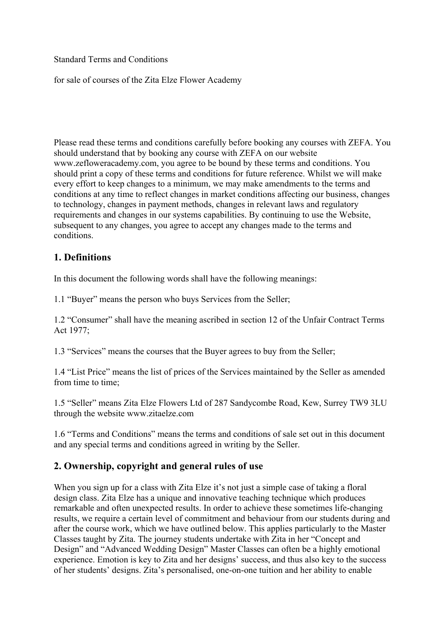Standard Terms and Conditions

for sale of courses of the Zita Elze Flower Academy

Please read these terms and conditions carefully before booking any courses with ZEFA. You should understand that by booking any course with ZEFA on our website www.zefloweracademy.com, you agree to be bound by these terms and conditions. You should print a copy of these terms and conditions for future reference. Whilst we will make every effort to keep changes to a minimum, we may make amendments to the terms and conditions at any time to reflect changes in market conditions affecting our business, changes to technology, changes in payment methods, changes in relevant laws and regulatory requirements and changes in our systems capabilities. By continuing to use the Website, subsequent to any changes, you agree to accept any changes made to the terms and conditions.

### **1. Definitions**

In this document the following words shall have the following meanings:

1.1 "Buyer" means the person who buys Services from the Seller;

1.2 "Consumer" shall have the meaning ascribed in section 12 of the Unfair Contract Terms Act 1977;

1.3 "Services" means the courses that the Buyer agrees to buy from the Seller;

1.4 "List Price" means the list of prices of the Services maintained by the Seller as amended from time to time:

1.5 "Seller" means Zita Elze Flowers Ltd of 287 Sandycombe Road, Kew, Surrey TW9 3LU through the website www.zitaelze.com

1.6 "Terms and Conditions" means the terms and conditions of sale set out in this document and any special terms and conditions agreed in writing by the Seller.

### **2. Ownership, copyright and general rules of use**

When you sign up for a class with Zita Elze it's not just a simple case of taking a floral design class. Zita Elze has a unique and innovative teaching technique which produces remarkable and often unexpected results. In order to achieve these sometimes life-changing results, we require a certain level of commitment and behaviour from our students during and after the course work, which we have outlined below. This applies particularly to the Master Classes taught by Zita. The journey students undertake with Zita in her "Concept and Design" and "Advanced Wedding Design" Master Classes can often be a highly emotional experience. Emotion is key to Zita and her designs' success, and thus also key to the success of her students' designs. Zita's personalised, one-on-one tuition and her ability to enable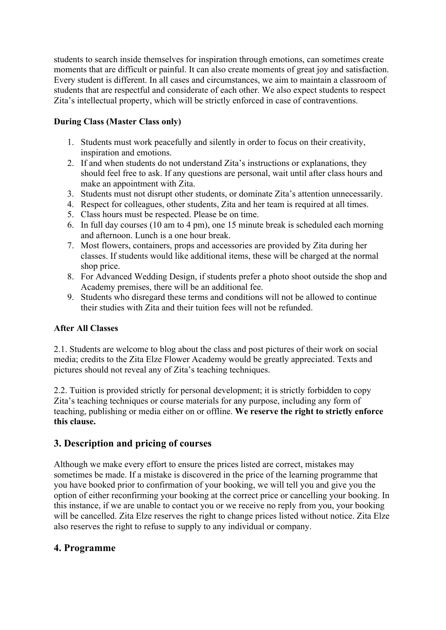students to search inside themselves for inspiration through emotions, can sometimes create moments that are difficult or painful. It can also create moments of great joy and satisfaction. Every student is different. In all cases and circumstances, we aim to maintain a classroom of students that are respectful and considerate of each other. We also expect students to respect Zita's intellectual property, which will be strictly enforced in case of contraventions.

### **During Class (Master Class only)**

- 1. Students must work peacefully and silently in order to focus on their creativity, inspiration and emotions.
- 2. If and when students do not understand Zita's instructions or explanations, they should feel free to ask. If any questions are personal, wait until after class hours and make an appointment with Zita.
- 3. Students must not disrupt other students, or dominate Zita's attention unnecessarily.
- 4. Respect for colleagues, other students, Zita and her team is required at all times.
- 5. Class hours must be respected. Please be on time.
- 6. In full day courses (10 am to 4 pm), one 15 minute break is scheduled each morning and afternoon. Lunch is a one hour break.
- 7. Most flowers, containers, props and accessories are provided by Zita during her classes. If students would like additional items, these will be charged at the normal shop price.
- 8. For Advanced Wedding Design, if students prefer a photo shoot outside the shop and Academy premises, there will be an additional fee.
- 9. Students who disregard these terms and conditions will not be allowed to continue their studies with Zita and their tuition fees will not be refunded.

### **After All Classes**

2.1. Students are welcome to blog about the class and post pictures of their work on social media; credits to the Zita Elze Flower Academy would be greatly appreciated. Texts and pictures should not reveal any of Zita's teaching techniques.

2.2. Tuition is provided strictly for personal development; it is strictly forbidden to copy Zita's teaching techniques or course materials for any purpose, including any form of teaching, publishing or media either on or offline. **We reserve the right to strictly enforce this clause.**

# **3. Description and pricing of courses**

Although we make every effort to ensure the prices listed are correct, mistakes may sometimes be made. If a mistake is discovered in the price of the learning programme that you have booked prior to confirmation of your booking, we will tell you and give you the option of either reconfirming your booking at the correct price or cancelling your booking. In this instance, if we are unable to contact you or we receive no reply from you, your booking will be cancelled. Zita Elze reserves the right to change prices listed without notice. Zita Elze also reserves the right to refuse to supply to any individual or company.

# **4. Programme**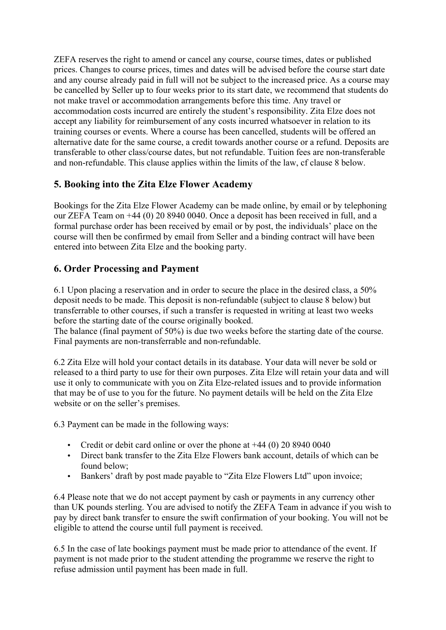ZEFA reserves the right to amend or cancel any course, course times, dates or published prices. Changes to course prices, times and dates will be advised before the course start date and any course already paid in full will not be subject to the increased price. As a course may be cancelled by Seller up to four weeks prior to its start date, we recommend that students do not make travel or accommodation arrangements before this time. Any travel or accommodation costs incurred are entirely the student's responsibility. Zita Elze does not accept any liability for reimbursement of any costs incurred whatsoever in relation to its training courses or events. Where a course has been cancelled, students will be offered an alternative date for the same course, a credit towards another course or a refund. Deposits are transferable to other class/course dates, but not refundable. Tuition fees are non-transferable and non-refundable. This clause applies within the limits of the law, cf clause 8 below.

## **5. Booking into the Zita Elze Flower Academy**

Bookings for the Zita Elze Flower Academy can be made online, by email or by telephoning our ZEFA Team on +44 (0) 20 8940 0040. Once a deposit has been received in full, and a formal purchase order has been received by email or by post, the individuals' place on the course will then be confirmed by email from Seller and a binding contract will have been entered into between Zita Elze and the booking party.

# **6. Order Processing and Payment**

6.1 Upon placing a reservation and in order to secure the place in the desired class, a 50% deposit needs to be made. This deposit is non-refundable (subject to clause 8 below) but transferrable to other courses, if such a transfer is requested in writing at least two weeks before the starting date of the course originally booked.

The balance (final payment of 50%) is due two weeks before the starting date of the course. Final payments are non-transferrable and non-refundable.

6.2 Zita Elze will hold your contact details in its database. Your data will never be sold or released to a third party to use for their own purposes. Zita Elze will retain your data and will use it only to communicate with you on Zita Elze-related issues and to provide information that may be of use to you for the future. No payment details will be held on the Zita Elze website or on the seller's premises.

6.3 Payment can be made in the following ways:

- Credit or debit card online or over the phone at +44 (0) 20 8940 0040
- Direct bank transfer to the Zita Elze Flowers bank account, details of which can be found below;
- Bankers' draft by post made payable to "Zita Elze Flowers Ltd" upon invoice;

6.4 Please note that we do not accept payment by cash or payments in any currency other than UK pounds sterling. You are advised to notify the ZEFA Team in advance if you wish to pay by direct bank transfer to ensure the swift confirmation of your booking. You will not be eligible to attend the course until full payment is received.

6.5 In the case of late bookings payment must be made prior to attendance of the event. If payment is not made prior to the student attending the programme we reserve the right to refuse admission until payment has been made in full.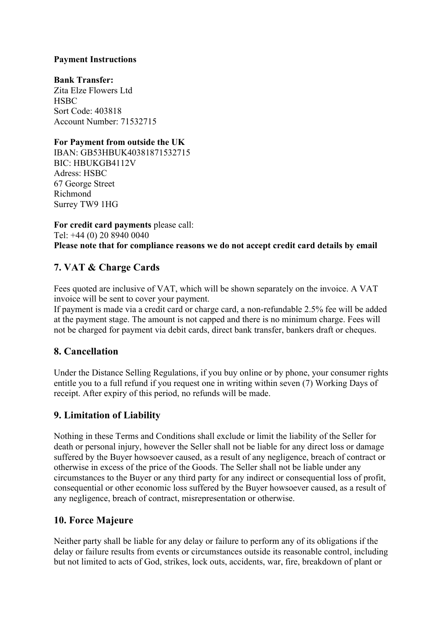#### **Payment Instructions**

**Bank Transfer:** Zita Elze Flowers Ltd **HSBC** Sort Code: 403818 Account Number: 71532715

#### **For Payment from outside the UK**

IBAN: GB53HBUK40381871532715 BIC: HBUKGB4112V Adress: HSBC 67 George Street Richmond Surrey TW9 1HG

**For credit card payments** please call: Tel: +44 (0) 20 8940 0040 **Please note that for compliance reasons we do not accept credit card details by email**

# **7. VAT & Charge Cards**

Fees quoted are inclusive of VAT, which will be shown separately on the invoice. A VAT invoice will be sent to cover your payment.

If payment is made via a credit card or charge card, a non-refundable 2.5% fee will be added at the payment stage. The amount is not capped and there is no minimum charge. Fees will not be charged for payment via debit cards, direct bank transfer, bankers draft or cheques.

### **8. Cancellation**

Under the Distance Selling Regulations, if you buy online or by phone, your consumer rights entitle you to a full refund if you request one in writing within seven (7) Working Days of receipt. After expiry of this period, no refunds will be made.

# **9. Limitation of Liability**

Nothing in these Terms and Conditions shall exclude or limit the liability of the Seller for death or personal injury, however the Seller shall not be liable for any direct loss or damage suffered by the Buyer howsoever caused, as a result of any negligence, breach of contract or otherwise in excess of the price of the Goods. The Seller shall not be liable under any circumstances to the Buyer or any third party for any indirect or consequential loss of profit, consequential or other economic loss suffered by the Buyer howsoever caused, as a result of any negligence, breach of contract, misrepresentation or otherwise.

### **10. Force Majeure**

Neither party shall be liable for any delay or failure to perform any of its obligations if the delay or failure results from events or circumstances outside its reasonable control, including but not limited to acts of God, strikes, lock outs, accidents, war, fire, breakdown of plant or